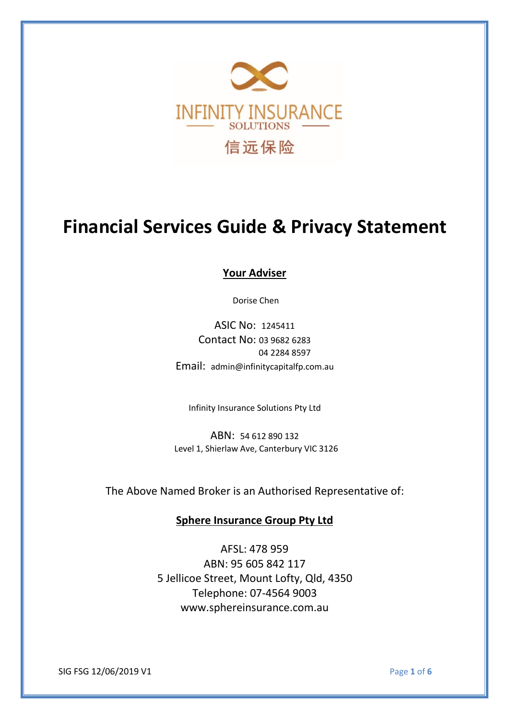

# **Financial Services Guide & Privacy Statement**

**Your Adviser**

Dorise Chen

ASIC No: 1245411 Contact No: 03 9682 6283 04 2284 8597 Email: admin@infinitycapitalfp.com.au

Infinity Insurance Solutions Pty Ltd

ABN: 54 612 890 132 Level 1, Shierlaw Ave, Canterbury VIC 3126

The Above Named Broker is an Authorised Representative of:

**Sphere Insurance Group Pty Ltd**

AFSL: 478 959 ABN: 95 605 842 117 5 Jellicoe Street, Mount Lofty, Qld, 4350 Telephone: 07-4564 9003 www.sphereinsurance.com.au

SIG FSG 12/06/2019 V1 Page **1** of **6**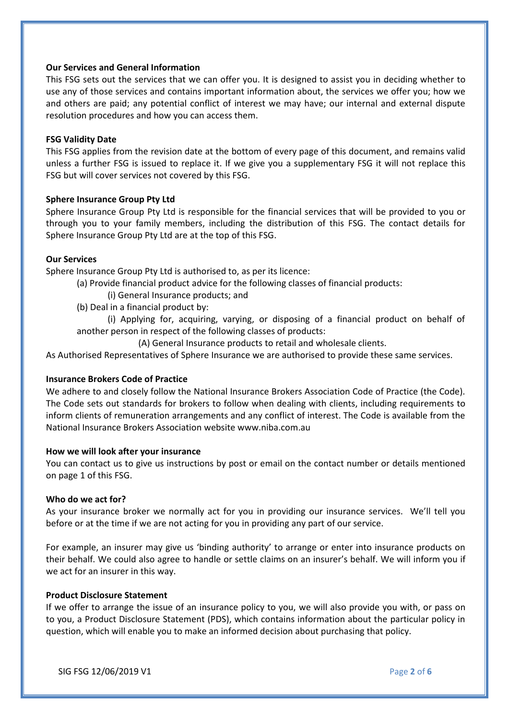# **Our Services and General Information**

This FSG sets out the services that we can offer you. It is designed to assist you in deciding whether to use any of those services and contains important information about, the services we offer you; how we and others are paid; any potential conflict of interest we may have; our internal and external dispute resolution procedures and how you can access them.

#### **FSG Validity Date**

This FSG applies from the revision date at the bottom of every page of this document, and remains valid unless a further FSG is issued to replace it. If we give you a supplementary FSG it will not replace this FSG but will cover services not covered by this FSG.

## **Sphere Insurance Group Pty Ltd**

Sphere Insurance Group Pty Ltd is responsible for the financial services that will be provided to you or through you to your family members, including the distribution of this FSG. The contact details for Sphere Insurance Group Pty Ltd are at the top of this FSG.

# **Our Services**

Sphere Insurance Group Pty Ltd is authorised to, as per its licence:

- (a) Provide financial product advice for the following classes of financial products:
	- (i) General Insurance products; and
- (b) Deal in a financial product by:

(i) Applying for, acquiring, varying, or disposing of a financial product on behalf of another person in respect of the following classes of products:

(A) General Insurance products to retail and wholesale clients.

As Authorised Representatives of Sphere Insurance we are authorised to provide these same services.

#### **Insurance Brokers Code of Practice**

We adhere to and closely follow the National Insurance Brokers Association Code of Practice (the Code). The Code sets out standards for brokers to follow when dealing with clients, including requirements to inform clients of remuneration arrangements and any conflict of interest. The Code is available from the National Insurance Brokers Association website www.niba.com.au

#### **How we will look afteryour insurance**

You can contact us to give us instructions by post or email on the contact number or details mentioned on page 1 of this FSG.

## **Who do we act for?**

As your insurance broker we normally act for you in providing our insurance services. We'll tell you before or at the time if we are not acting for you in providing any part of our service.

For example, an insurer may give us 'binding authority' to arrange or enter into insurance products on their behalf. We could also agree to handle or settle claims on an insurer's behalf. We will inform you if we act for an insurer in this way.

## **Product Disclosure Statement**

If we offer to arrange the issue of an insurance policy to you, we will also provide you with, or pass on to you, a Product Disclosure Statement (PDS), which contains information about the particular policy in question, which will enable you to make an informed decision about purchasing that policy.

SIG FSG 12/06/2019 V1 Page **2** of **6**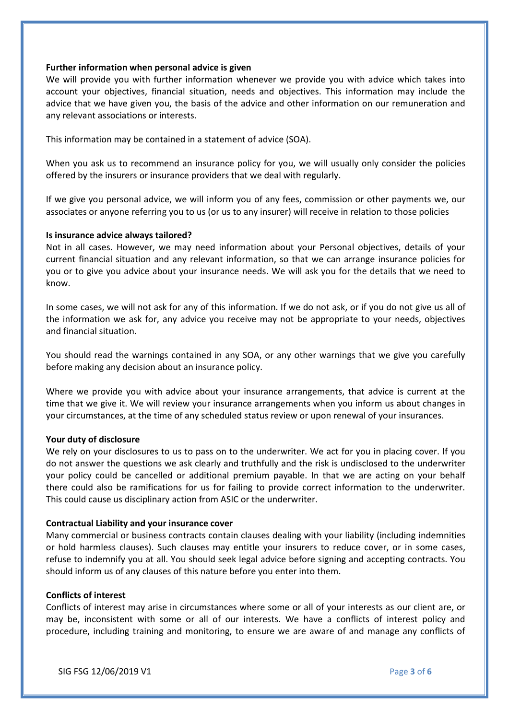## **Further information when personal advice is given**

We will provide you with further information whenever we provide you with advice which takes into account your objectives, financial situation, needs and objectives. This information may include the advice that we have given you, the basis of the advice and other information on our remuneration and any relevant associations or interests.

This information may be contained in a statement of advice (SOA).

When you ask us to recommend an insurance policy for you, we will usually only consider the policies offered by the insurers or insurance providers that we deal with regularly.

If we give you personal advice, we will inform you of any fees, commission or other payments we, our associates or anyone referring you to us (or us to any insurer) will receive in relation to those policies

#### **Is insurance advice always tailored?**

Not in all cases. However, we may need information about your Personal objectives, details of your current financial situation and any relevant information, so that we can arrange insurance policies for you or to give you advice about your insurance needs. We will ask you for the details that we need to know.

In some cases, we will not ask for any of this information. If we do not ask, or if you do not give us all of the information we ask for, any advice you receive may not be appropriate to your needs, objectives and financial situation.

You should read the warnings contained in any SOA, or any other warnings that we give you carefully before making any decision about an insurance policy.

Where we provide you with advice about your insurance arrangements, that advice is current at the time that we give it. We will review your insurance arrangements when you inform us about changes in your circumstances, at the time of any scheduled status review or upon renewal of your insurances.

## **Your duty of disclosure**

We rely on your disclosures to us to pass on to the underwriter. We act for you in placing cover. If you do not answer the questions we ask clearly and truthfully and the risk is undisclosed to the underwriter your policy could be cancelled or additional premium payable. In that we are acting on your behalf there could also be ramifications for us for failing to provide correct information to the underwriter. This could cause us disciplinary action from ASIC or the underwriter.

## **Contractual Liability and your insurance cover**

Many commercial or business contracts contain clauses dealing with your liability (including indemnities or hold harmless clauses). Such clauses may entitle your insurers to reduce cover, or in some cases, refuse to indemnify you at all. You should seek legal advice before signing and accepting contracts. You should inform us of any clauses of this nature before you enter into them.

#### **Conflicts of interest**

Conflicts of interest may arise in circumstances where some or all of your interests as our client are, or may be, inconsistent with some or all of our interests. We have a conflicts of interest policy and procedure, including training and monitoring, to ensure we are aware of and manage any conflicts of

SIG FSG 12/06/2019 V1 Page **3** of **6**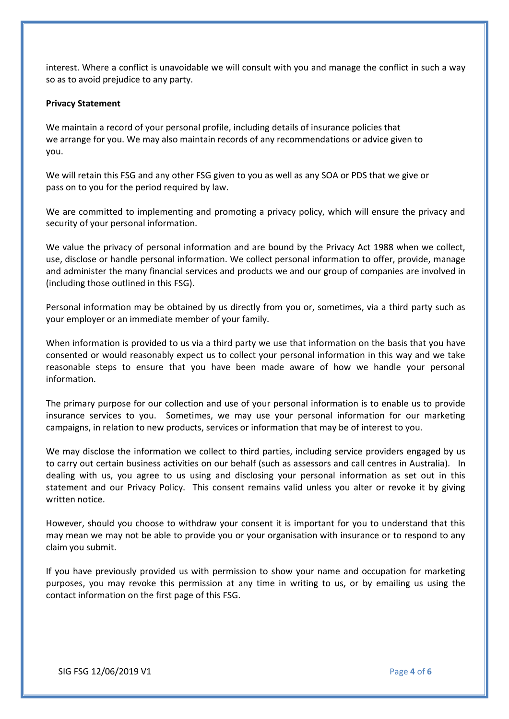interest. Where a conflict is unavoidable we will consult with you and manage the conflict in such a way so as to avoid prejudice to any party.

# **Privacy Statement**

We maintain a record of your personal profile, including details of insurance policies that we arrange for you. We may also maintain records of any recommendations or advice given to you.

We will retain this FSG and any other FSG given to you as well as any SOA or PDS that we give or pass on to you for the period required by law.

We are committed to implementing and promoting a privacy policy, which will ensure the privacy and security of your personal information.

We value the privacy of personal information and are bound by the Privacy Act 1988 when we collect, use, disclose or handle personal information. We collect personal information to offer, provide, manage and administer the many financial services and products we and our group of companies are involved in (including those outlined in this FSG).

Personal information may be obtained by us directly from you or, sometimes, via a third party such as your employer or an immediate member of your family.

When information is provided to us via a third party we use that information on the basis that you have consented or would reasonably expect us to collect your personal information in this way and we take reasonable steps to ensure that you have been made aware of how we handle your personal information.

The primary purpose for our collection and use of your personal information is to enable us to provide insurance services to you. Sometimes, we may use your personal information for our marketing campaigns, in relation to new products, services or information that may be of interest to you.

We may disclose the information we collect to third parties, including service providers engaged by us to carry out certain business activities on our behalf (such as assessors and call centres in Australia). In dealing with us, you agree to us using and disclosing your personal information as set out in this statement and our Privacy Policy. This consent remains valid unless you alter or revoke it by giving written notice.

However, should you choose to withdraw your consent it is important for you to understand that this may mean we may not be able to provide you or your organisation with insurance or to respond to any claim you submit.

If you have previously provided us with permission to show your name and occupation for marketing purposes, you may revoke this permission at any time in writing to us, or by emailing us using the contact information on the first page of this FSG.

SIG FSG 12/06/2019 V1 Page **4** of **6**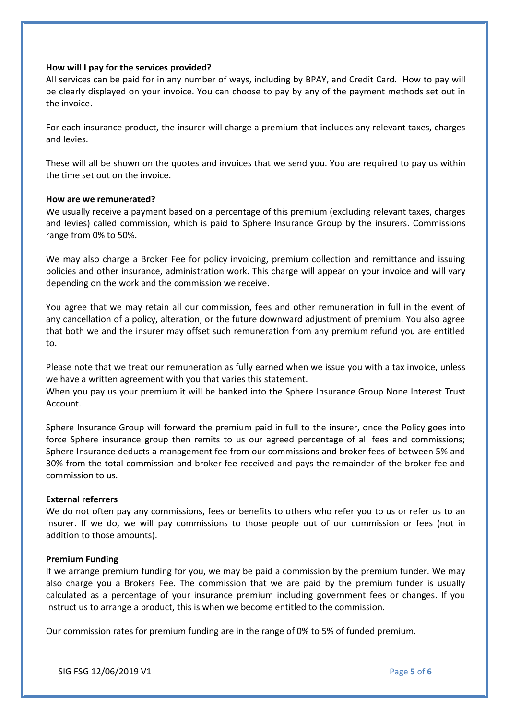## **How will I pay for the services provided?**

All services can be paid for in any number of ways, including by BPAY, and Credit Card. How to pay will be clearly displayed on your invoice. You can choose to pay by any of the payment methods set out in the invoice.

For each insurance product, the insurer will charge a premium that includes any relevant taxes, charges and levies.

These will all be shown on the quotes and invoices that we send you. You are required to pay us within the time set out on the invoice.

## **How are we remunerated?**

We usually receive a payment based on a percentage of this premium (excluding relevant taxes, charges and levies) called commission, which is paid to Sphere Insurance Group by the insurers. Commissions range from 0% to 50%.

We may also charge a Broker Fee for policy invoicing, premium collection and remittance and issuing policies and other insurance, administration work. This charge will appear on your invoice and will vary depending on the work and the commission we receive.

You agree that we may retain all our commission, fees and other remuneration in full in the event of any cancellation of a policy, alteration, or the future downward adjustment of premium. You also agree that both we and the insurer may offset such remuneration from any premium refund you are entitled to.

Please note that we treat our remuneration as fully earned when we issue you with a tax invoice, unless we have a written agreement with you that varies this statement.

When you pay us your premium it will be banked into the Sphere Insurance Group None Interest Trust Account.

Sphere Insurance Group will forward the premium paid in full to the insurer, once the Policy goes into force Sphere insurance group then remits to us our agreed percentage of all fees and commissions; Sphere Insurance deducts a management fee from our commissions and broker fees of between 5% and 30% from the total commission and broker fee received and pays the remainder of the broker fee and commission to us.

## **External referrers**

We do not often pay any commissions, fees or benefits to others who refer you to us or refer us to an insurer. If we do, we will pay commissions to those people out of our commission or fees (not in addition to those amounts).

#### **Premium Funding**

If we arrange premium funding for you, we may be paid a commission by the premium funder. We may also charge you a Brokers Fee. The commission that we are paid by the premium funder is usually calculated as a percentage of your insurance premium including government fees or changes. If you instruct us to arrange a product, this is when we become entitled to the commission.

Our commission rates for premium funding are in the range of 0% to 5% of funded premium.

SIG FSG 12/06/2019 V1 Page **5** of **6**